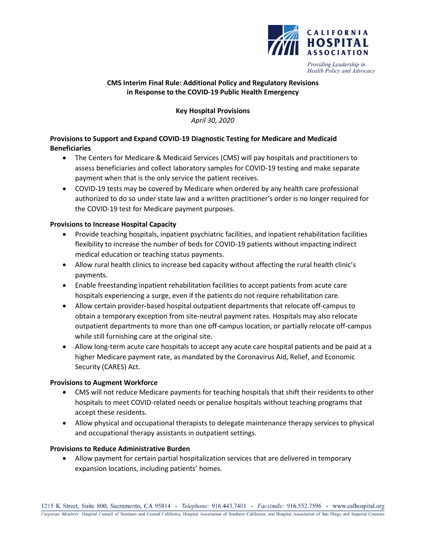

Providing Leadership in Health Policy and Advocacy

### **CMS Interim Final Rule: Additional Policy and Regulatory Revisions in Response to the COVID-19 Public Health Emergency**

# **Key Hospital Provisions** *April 30, 2020*

# **Provisions to Support and Expand COVID-19 Diagnostic Testing for Medicare and Medicaid Beneficiaries**

- The Centers for Medicare & Medicaid Services (CMS) will pay hospitals and practitioners to assess beneficiaries and collect laboratory samples for COVID-19 testing and make separate payment when that is the only service the patient receives.
- COVID-19 tests may be covered by Medicare when ordered by any health care professional authorized to do so under state law and a written practitioner's order is no longer required for the COVID-19 test for Medicare payment purposes.

# **Provisions to Increase Hospital Capacity**

- Provide teaching hospitals, inpatient psychiatric facilities, and inpatient rehabilitation facilities flexibility to increase the number of beds for COVID-19 patients without impacting indirect medical education or teaching status payments.
- Allow rural health clinics to increase bed capacity without affecting the rural health clinic's payments.
- Enable freestanding inpatient rehabilitation facilities to accept patients from acute care hospitals experiencing a surge, even if the patients do not require rehabilitation care.
- Allow certain provider-based hospital outpatient departments that relocate off-campus to obtain a temporary exception from site-neutral payment rates. Hospitals may also relocate outpatient departments to more than one off-campus location, or partially relocate off-campus while still furnishing care at the original site.
- Allow long-term acute care hospitals to accept any acute care hospital patients and be paid at a higher Medicare payment rate, as mandated by the Coronavirus Aid, Relief, and Economic Security (CARES) Act.

#### **Provisions to Augment Workforce**

- CMS will not reduce Medicare payments for teaching hospitals that shift their residents to other hospitals to meet COVID-related needs or penalize hospitals without teaching programs that accept these residents.
- Allow physical and occupational therapists to delegate maintenance therapy services to physical and occupational therapy assistants in outpatient settings.

#### **Provisions to Reduce Administrative Burden**

• Allow payment for certain partial hospitalization services that are delivered in temporary expansion locations, including patients' homes.